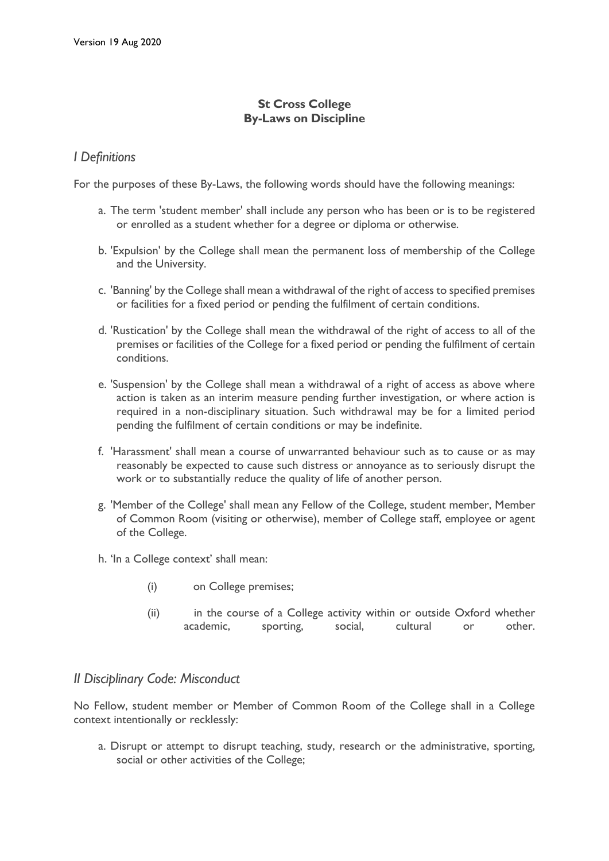# **St Cross College By-Laws on Discipline**

# *I Definitions*

For the purposes of these By-Laws, the following words should have the following meanings:

- a. The term 'student member' shall include any person who has been or is to be registered or enrolled as a student whether for a degree or diploma or otherwise.
- b. 'Expulsion' by the College shall mean the permanent loss of membership of the College and the University.
- c. 'Banning' by the College shall mean a withdrawal of the right of access to specified premises or facilities for a fixed period or pending the fulfilment of certain conditions.
- d. 'Rustication' by the College shall mean the withdrawal of the right of access to all of the premises or facilities of the College for a fixed period or pending the fulfilment of certain conditions.
- e. 'Suspension' by the College shall mean a withdrawal of a right of access as above where action is taken as an interim measure pending further investigation, or where action is required in a non-disciplinary situation. Such withdrawal may be for a limited period pending the fulfilment of certain conditions or may be indefinite.
- f. 'Harassment' shall mean a course of unwarranted behaviour such as to cause or as may reasonably be expected to cause such distress or annoyance as to seriously disrupt the work or to substantially reduce the quality of life of another person.
- g. 'Member of the College' shall mean any Fellow of the College, student member, Member of Common Room (visiting or otherwise), member of College staff, employee or agent of the College.
- h. 'In a College context' shall mean:
	- (i) on College premises;
	- (ii) in the course of a College activity within or outside Oxford whether academic, sporting, social, cultural or other.

# *II Disciplinary Code: Misconduct*

No Fellow, student member or Member of Common Room of the College shall in a College context intentionally or recklessly:

a. Disrupt or attempt to disrupt teaching, study, research or the administrative, sporting, social or other activities of the College;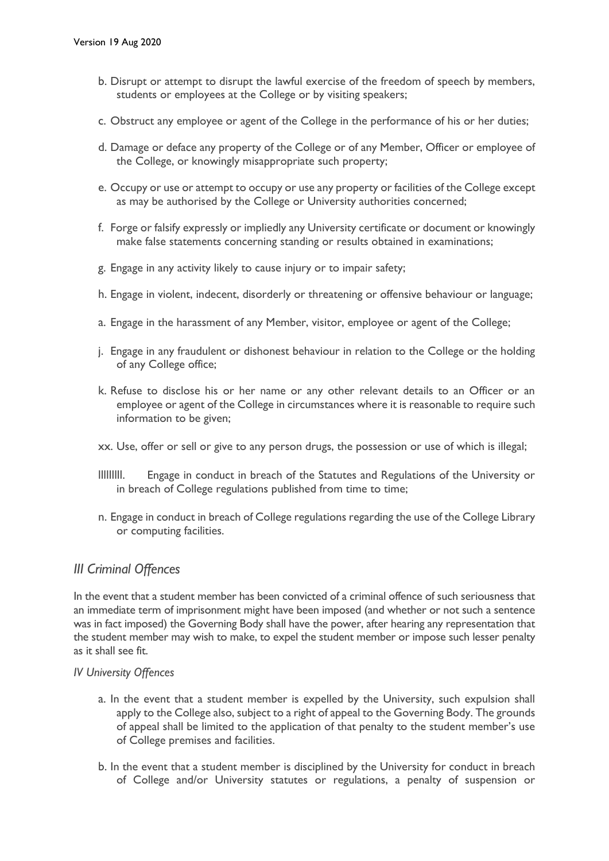- b. Disrupt or attempt to disrupt the lawful exercise of the freedom of speech by members, students or employees at the College or by visiting speakers;
- c. Obstruct any employee or agent of the College in the performance of his or her duties;
- d. Damage or deface any property of the College or of any Member, Officer or employee of the College, or knowingly misappropriate such property;
- e. Occupy or use or attempt to occupy or use any property or facilities of the College except as may be authorised by the College or University authorities concerned;
- f. Forge or falsify expressly or impliedly any University certificate or document or knowingly make false statements concerning standing or results obtained in examinations;
- g. Engage in any activity likely to cause injury or to impair safety;
- h. Engage in violent, indecent, disorderly or threatening or offensive behaviour or language;
- a. Engage in the harassment of any Member, visitor, employee or agent of the College;
- j. Engage in any fraudulent or dishonest behaviour in relation to the College or the holding of any College office;
- k. Refuse to disclose his or her name or any other relevant details to an Officer or an employee or agent of the College in circumstances where it is reasonable to require such information to be given;
- xx. Use, offer or sell or give to any person drugs, the possession or use of which is illegal;
- lllllllll. Engage in conduct in breach of the Statutes and Regulations of the University or in breach of College regulations published from time to time;
- n. Engage in conduct in breach of College regulations regarding the use of the College Library or computing facilities.

## *III Criminal Offences*

In the event that a student member has been convicted of a criminal offence of such seriousness that an immediate term of imprisonment might have been imposed (and whether or not such a sentence was in fact imposed) the Governing Body shall have the power, after hearing any representation that the student member may wish to make, to expel the student member or impose such lesser penalty as it shall see fit.

#### *IV University Offences*

- a. In the event that a student member is expelled by the University, such expulsion shall apply to the College also, subject to a right of appeal to the Governing Body. The grounds of appeal shall be limited to the application of that penalty to the student member's use of College premises and facilities.
- b. In the event that a student member is disciplined by the University for conduct in breach of College and/or University statutes or regulations, a penalty of suspension or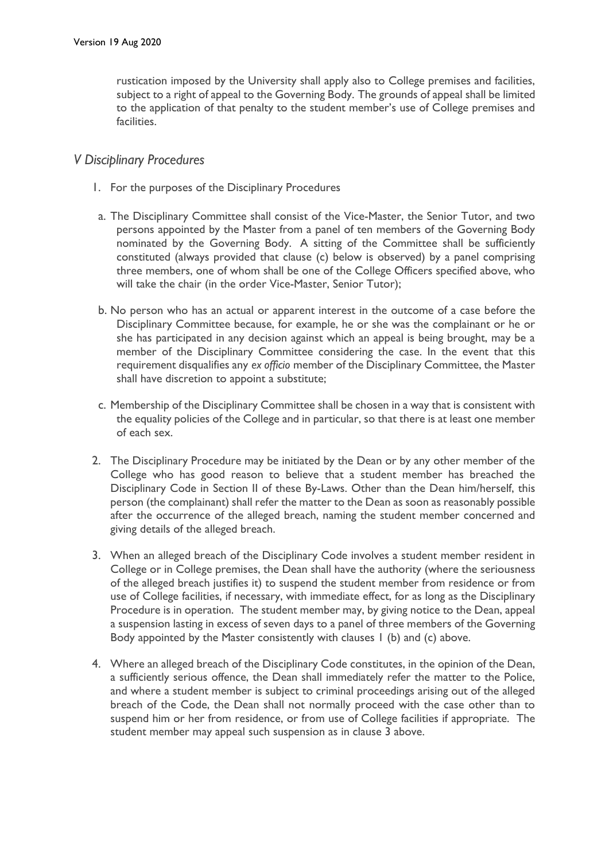rustication imposed by the University shall apply also to College premises and facilities, subject to a right of appeal to the Governing Body. The grounds of appeal shall be limited to the application of that penalty to the student member's use of College premises and facilities.

# *V Disciplinary Procedures*

- 1. For the purposes of the Disciplinary Procedures
- a. The Disciplinary Committee shall consist of the Vice-Master, the Senior Tutor, and two persons appointed by the Master from a panel of ten members of the Governing Body nominated by the Governing Body. A sitting of the Committee shall be sufficiently constituted (always provided that clause (c) below is observed) by a panel comprising three members, one of whom shall be one of the College Officers specified above, who will take the chair (in the order Vice-Master, Senior Tutor);
- b. No person who has an actual or apparent interest in the outcome of a case before the Disciplinary Committee because, for example, he or she was the complainant or he or she has participated in any decision against which an appeal is being brought, may be a member of the Disciplinary Committee considering the case. In the event that this requirement disqualifies any *ex officio* member of the Disciplinary Committee, the Master shall have discretion to appoint a substitute;
- c. Membership of the Disciplinary Committee shall be chosen in a way that is consistent with the equality policies of the College and in particular, so that there is at least one member of each sex.
- 2. The Disciplinary Procedure may be initiated by the Dean or by any other member of the College who has good reason to believe that a student member has breached the Disciplinary Code in Section II of these By-Laws. Other than the Dean him/herself, this person (the complainant) shall refer the matter to the Dean as soon as reasonably possible after the occurrence of the alleged breach, naming the student member concerned and giving details of the alleged breach.
- 3. When an alleged breach of the Disciplinary Code involves a student member resident in College or in College premises, the Dean shall have the authority (where the seriousness of the alleged breach justifies it) to suspend the student member from residence or from use of College facilities, if necessary, with immediate effect, for as long as the Disciplinary Procedure is in operation. The student member may, by giving notice to the Dean, appeal a suspension lasting in excess of seven days to a panel of three members of the Governing Body appointed by the Master consistently with clauses 1 (b) and (c) above.
- 4. Where an alleged breach of the Disciplinary Code constitutes, in the opinion of the Dean, a sufficiently serious offence, the Dean shall immediately refer the matter to the Police, and where a student member is subject to criminal proceedings arising out of the alleged breach of the Code, the Dean shall not normally proceed with the case other than to suspend him or her from residence, or from use of College facilities if appropriate. The student member may appeal such suspension as in clause 3 above.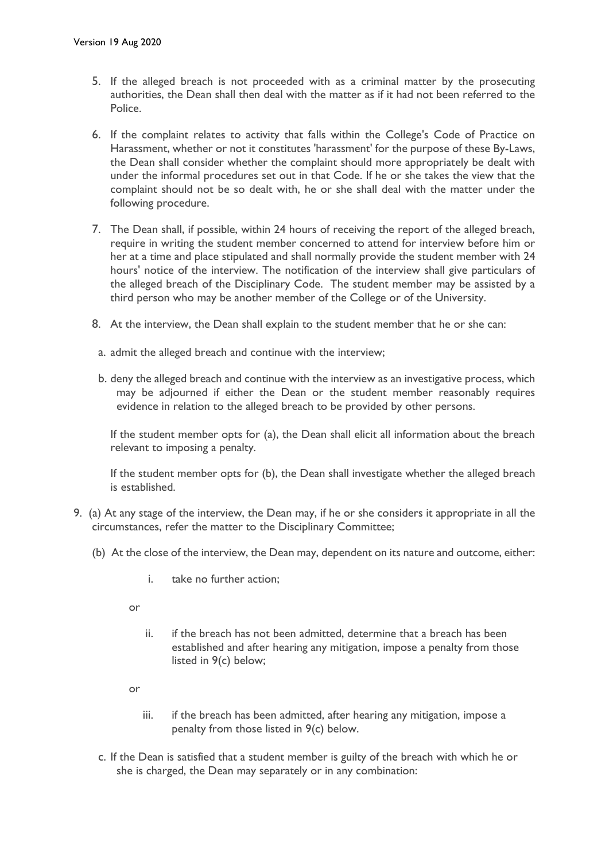- 5. If the alleged breach is not proceeded with as a criminal matter by the prosecuting authorities, the Dean shall then deal with the matter as if it had not been referred to the Police.
- 6. If the complaint relates to activity that falls within the College's Code of Practice on Harassment, whether or not it constitutes 'harassment' for the purpose of these By-Laws, the Dean shall consider whether the complaint should more appropriately be dealt with under the informal procedures set out in that Code. If he or she takes the view that the complaint should not be so dealt with, he or she shall deal with the matter under the following procedure.
- 7. The Dean shall, if possible, within 24 hours of receiving the report of the alleged breach, require in writing the student member concerned to attend for interview before him or her at a time and place stipulated and shall normally provide the student member with 24 hours' notice of the interview. The notification of the interview shall give particulars of the alleged breach of the Disciplinary Code. The student member may be assisted by a third person who may be another member of the College or of the University.
- 8. At the interview, the Dean shall explain to the student member that he or she can:
- a. admit the alleged breach and continue with the interview;
- b. deny the alleged breach and continue with the interview as an investigative process, which may be adjourned if either the Dean or the student member reasonably requires evidence in relation to the alleged breach to be provided by other persons.

If the student member opts for (a), the Dean shall elicit all information about the breach relevant to imposing a penalty.

If the student member opts for (b), the Dean shall investigate whether the alleged breach is established.

- 9. (a) At any stage of the interview, the Dean may, if he or she considers it appropriate in all the circumstances, refer the matter to the Disciplinary Committee;
	- (b) At the close of the interview, the Dean may, dependent on its nature and outcome, either:
		- i. take no further action;

or

- ii. if the breach has not been admitted, determine that a breach has been established and after hearing any mitigation, impose a penalty from those listed in 9(c) below;
- or
	- iii. if the breach has been admitted, after hearing any mitigation, impose a penalty from those listed in 9(c) below.
- c. If the Dean is satisfied that a student member is guilty of the breach with which he or she is charged, the Dean may separately or in any combination: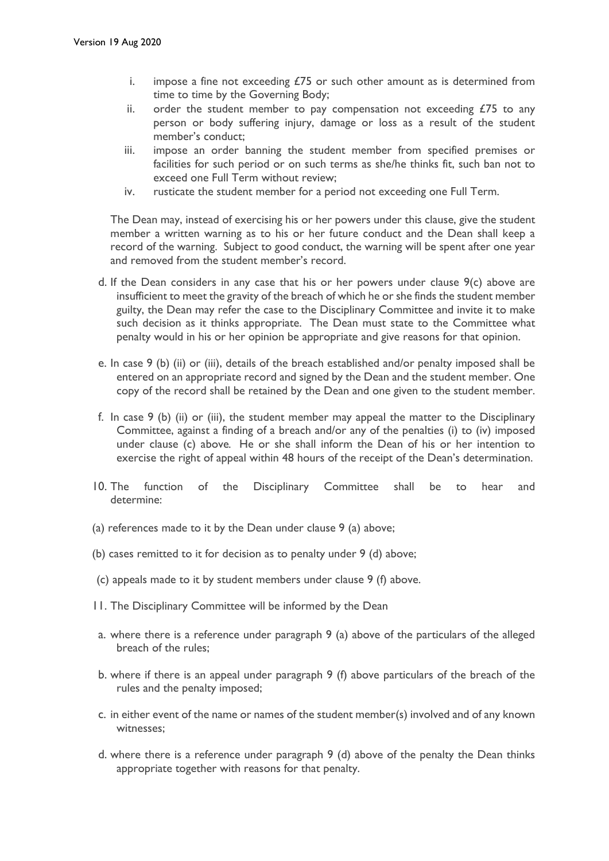- i. impose a fine not exceeding  $E/5$  or such other amount as is determined from time to time by the Governing Body;
- ii. order the student member to pay compensation not exceeding  $E/5$  to any person or body suffering injury, damage or loss as a result of the student member's conduct;
- iii. impose an order banning the student member from specified premises or facilities for such period or on such terms as she/he thinks fit, such ban not to exceed one Full Term without review;
- iv. rusticate the student member for a period not exceeding one Full Term.

The Dean may, instead of exercising his or her powers under this clause, give the student member a written warning as to his or her future conduct and the Dean shall keep a record of the warning. Subject to good conduct, the warning will be spent after one year and removed from the student member's record.

- d. If the Dean considers in any case that his or her powers under clause 9(c) above are insufficient to meet the gravity of the breach of which he or she finds the student member guilty, the Dean may refer the case to the Disciplinary Committee and invite it to make such decision as it thinks appropriate. The Dean must state to the Committee what penalty would in his or her opinion be appropriate and give reasons for that opinion.
- e. In case 9 (b) (ii) or (iii), details of the breach established and/or penalty imposed shall be entered on an appropriate record and signed by the Dean and the student member. One copy of the record shall be retained by the Dean and one given to the student member.
- f. In case 9 (b) (ii) or (iii), the student member may appeal the matter to the Disciplinary Committee, against a finding of a breach and/or any of the penalties (i) to (iv) imposed under clause (c) above*.* He or she shall inform the Dean of his or her intention to exercise the right of appeal within 48 hours of the receipt of the Dean's determination.
- 10. The function of the Disciplinary Committee shall be to hear and determine:
- (a) references made to it by the Dean under clause 9 (a) above;
- (b) cases remitted to it for decision as to penalty under 9 (d) above;
- (c) appeals made to it by student members under clause 9 (f) above.
- 11. The Disciplinary Committee will be informed by the Dean
- a. where there is a reference under paragraph 9 (a) above of the particulars of the alleged breach of the rules;
- b. where if there is an appeal under paragraph 9 (f) above particulars of the breach of the rules and the penalty imposed;
- c. in either event of the name or names of the student member(s) involved and of any known witnesses;
- d. where there is a reference under paragraph 9 (d) above of the penalty the Dean thinks appropriate together with reasons for that penalty.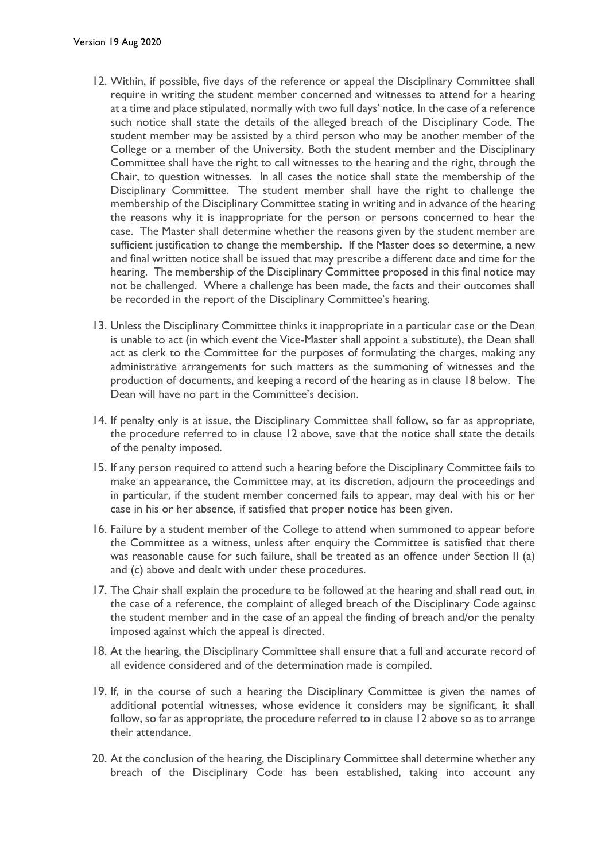- 12. Within, if possible, five days of the reference or appeal the Disciplinary Committee shall require in writing the student member concerned and witnesses to attend for a hearing at a time and place stipulated, normally with two full days' notice. In the case of a reference such notice shall state the details of the alleged breach of the Disciplinary Code. The student member may be assisted by a third person who may be another member of the College or a member of the University. Both the student member and the Disciplinary Committee shall have the right to call witnesses to the hearing and the right, through the Chair, to question witnesses. In all cases the notice shall state the membership of the Disciplinary Committee. The student member shall have the right to challenge the membership of the Disciplinary Committee stating in writing and in advance of the hearing the reasons why it is inappropriate for the person or persons concerned to hear the case. The Master shall determine whether the reasons given by the student member are sufficient justification to change the membership. If the Master does so determine, a new and final written notice shall be issued that may prescribe a different date and time for the hearing. The membership of the Disciplinary Committee proposed in this final notice may not be challenged. Where a challenge has been made, the facts and their outcomes shall be recorded in the report of the Disciplinary Committee's hearing.
- 13. Unless the Disciplinary Committee thinks it inappropriate in a particular case or the Dean is unable to act (in which event the Vice-Master shall appoint a substitute), the Dean shall act as clerk to the Committee for the purposes of formulating the charges, making any administrative arrangements for such matters as the summoning of witnesses and the production of documents, and keeping a record of the hearing as in clause 18 below. The Dean will have no part in the Committee's decision.
- 14. If penalty only is at issue, the Disciplinary Committee shall follow, so far as appropriate, the procedure referred to in clause 12 above, save that the notice shall state the details of the penalty imposed.
- 15. If any person required to attend such a hearing before the Disciplinary Committee fails to make an appearance, the Committee may, at its discretion, adjourn the proceedings and in particular, if the student member concerned fails to appear, may deal with his or her case in his or her absence, if satisfied that proper notice has been given.
- 16. Failure by a student member of the College to attend when summoned to appear before the Committee as a witness, unless after enquiry the Committee is satisfied that there was reasonable cause for such failure, shall be treated as an offence under Section II (a) and (c) above and dealt with under these procedures.
- 17. The Chair shall explain the procedure to be followed at the hearing and shall read out, in the case of a reference, the complaint of alleged breach of the Disciplinary Code against the student member and in the case of an appeal the finding of breach and/or the penalty imposed against which the appeal is directed.
- 18. At the hearing, the Disciplinary Committee shall ensure that a full and accurate record of all evidence considered and of the determination made is compiled.
- 19. If, in the course of such a hearing the Disciplinary Committee is given the names of additional potential witnesses, whose evidence it considers may be significant, it shall follow, so far as appropriate, the procedure referred to in clause 12 above so as to arrange their attendance.
- 20. At the conclusion of the hearing, the Disciplinary Committee shall determine whether any breach of the Disciplinary Code has been established, taking into account any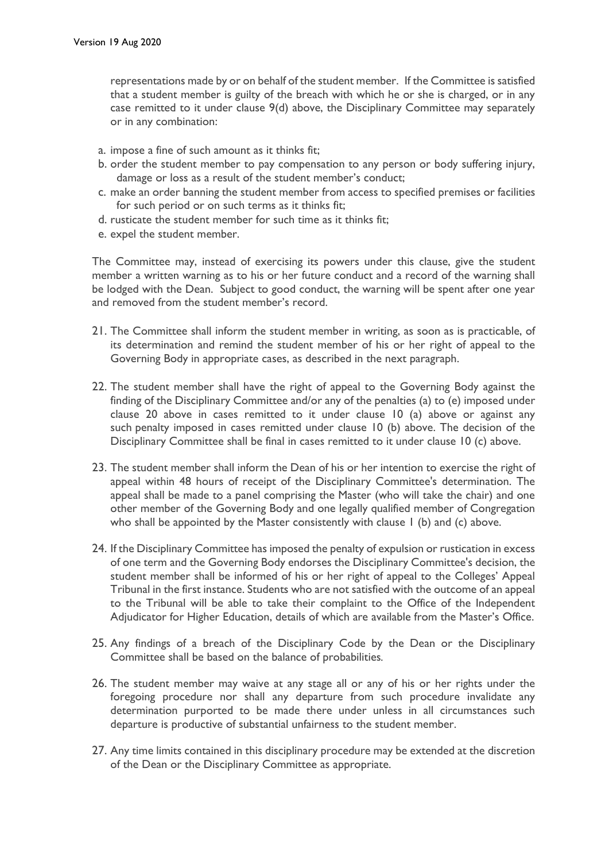representations made by or on behalf of the student member. If the Committee is satisfied that a student member is guilty of the breach with which he or she is charged, or in any case remitted to it under clause 9(d) above, the Disciplinary Committee may separately or in any combination:

- a. impose a fine of such amount as it thinks fit;
- b. order the student member to pay compensation to any person or body suffering injury, damage or loss as a result of the student member's conduct;
- c. make an order banning the student member from access to specified premises or facilities for such period or on such terms as it thinks fit;
- d. rusticate the student member for such time as it thinks fit;
- e. expel the student member.

The Committee may, instead of exercising its powers under this clause, give the student member a written warning as to his or her future conduct and a record of the warning shall be lodged with the Dean. Subject to good conduct, the warning will be spent after one year and removed from the student member's record.

- 21. The Committee shall inform the student member in writing, as soon as is practicable, of its determination and remind the student member of his or her right of appeal to the Governing Body in appropriate cases, as described in the next paragraph.
- 22. The student member shall have the right of appeal to the Governing Body against the finding of the Disciplinary Committee and/or any of the penalties (a) to (e) imposed under clause 20 above in cases remitted to it under clause 10 (a) above or against any such penalty imposed in cases remitted under clause 10 (b) above. The decision of the Disciplinary Committee shall be final in cases remitted to it under clause 10 (c) above.
- 23. The student member shall inform the Dean of his or her intention to exercise the right of appeal within 48 hours of receipt of the Disciplinary Committee's determination. The appeal shall be made to a panel comprising the Master (who will take the chair) and one other member of the Governing Body and one legally qualified member of Congregation who shall be appointed by the Master consistently with clause 1 (b) and (c) above.
- 24. If the Disciplinary Committee has imposed the penalty of expulsion or rustication in excess of one term and the Governing Body endorses the Disciplinary Committee's decision, the student member shall be informed of his or her right of appeal to the Colleges' Appeal Tribunal in the first instance. Students who are not satisfied with the outcome of an appeal to the Tribunal will be able to take their complaint to the Office of the Independent Adjudicator for Higher Education, details of which are available from the Master's Office.
- 25. Any findings of a breach of the Disciplinary Code by the Dean or the Disciplinary Committee shall be based on the balance of probabilities*.*
- 26. The student member may waive at any stage all or any of his or her rights under the foregoing procedure nor shall any departure from such procedure invalidate any determination purported to be made there under unless in all circumstances such departure is productive of substantial unfairness to the student member.
- 27. Any time limits contained in this disciplinary procedure may be extended at the discretion of the Dean or the Disciplinary Committee as appropriate.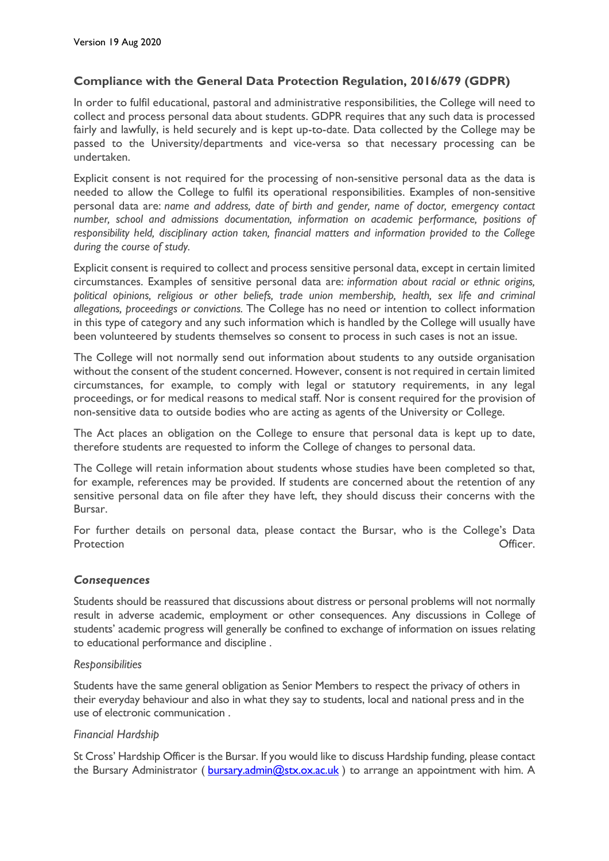## **Compliance with the General Data Protection Regulation, 2016/679 (GDPR)**

In order to fulfil educational, pastoral and administrative responsibilities, the College will need to collect and process personal data about students. GDPR requires that any such data is processed fairly and lawfully, is held securely and is kept up-to-date. Data collected by the College may be passed to the University/departments and vice-versa so that necessary processing can be undertaken.

Explicit consent is not required for the processing of non-sensitive personal data as the data is needed to allow the College to fulfil its operational responsibilities. Examples of non-sensitive personal data are: *name and address, date of birth and gender, name of doctor, emergency contact number, school and admissions documentation, information on academic performance, positions of responsibility held, disciplinary action taken, financial matters and information provided to the College during the course of study.*

Explicit consent is required to collect and process sensitive personal data, except in certain limited circumstances. Examples of sensitive personal data are: *information about racial or ethnic origins, political opinions, religious or other beliefs, trade union membership, health, sex life and criminal allegations, proceedings or convictions.* The College has no need or intention to collect information in this type of category and any such information which is handled by the College will usually have been volunteered by students themselves so consent to process in such cases is not an issue.

The College will not normally send out information about students to any outside organisation without the consent of the student concerned. However, consent is not required in certain limited circumstances, for example, to comply with legal or statutory requirements, in any legal proceedings, or for medical reasons to medical staff. Nor is consent required for the provision of non-sensitive data to outside bodies who are acting as agents of the University or College.

The Act places an obligation on the College to ensure that personal data is kept up to date, therefore students are requested to inform the College of changes to personal data.

The College will retain information about students whose studies have been completed so that, for example, references may be provided. If students are concerned about the retention of any sensitive personal data on file after they have left, they should discuss their concerns with the Bursar.

For further details on personal data, please contact the Bursar, who is the College's Data Protection **Officer.** 

## *Consequences*

Students should be reassured that discussions about distress or personal problems will not normally result in adverse academic, employment or other consequences. Any discussions in College of students' academic progress will generally be confined to exchange of information on issues relating to educational performance and discipline .

#### *Responsibilities*

Students have the same general obligation as Senior Members to respect the privacy of others in their everyday behaviour and also in what they say to students, local and national press and in the use of electronic communication .

## *Financial Hardship*

St Cross' Hardship Officer is the Bursar. If you would like to discuss Hardship funding, please contact the Bursary Administrator ( $bursary.admin@stx.ox.ac.uk$ ) to arrange an appointment with him. A